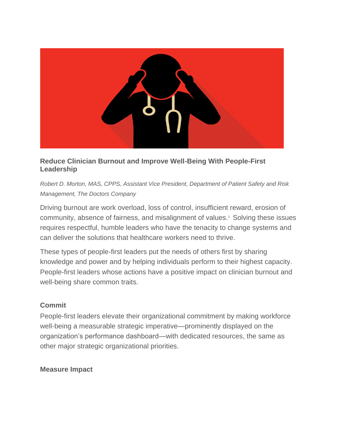

# **Reduce Clinician Burnout and Improve Well-Being With People-First Leadership**

*Robert D. Morton, MAS, CPPS, Assistant Vice President, Department of Patient Safety and Risk Management, The Doctors Company*

Driving burnout are work overload, loss of control, insufficient reward, erosion of community, absence of fairness, and misalignment of values.<sup>1</sup> Solving these issues requires respectful, humble leaders who have the tenacity to change systems and can deliver the solutions that healthcare workers need to thrive.

These types of people-first leaders put the needs of others first by sharing knowledge and power and by helping individuals perform to their highest capacity. People-first leaders whose actions have a positive impact on clinician burnout and well-being share common traits.

# **Commit**

People-first leaders elevate their organizational commitment by making workforce well-being a measurable strategic imperative—prominently displayed on the organization's performance dashboard—with dedicated resources, the same as other major strategic organizational priorities.

### **Measure Impact**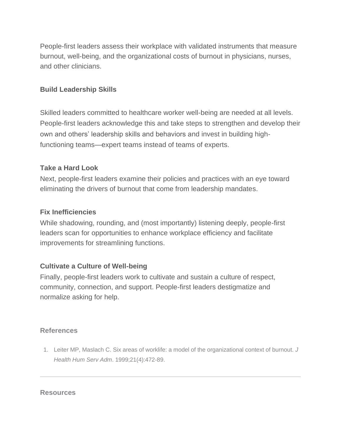People-first leaders assess their workplace with validated instruments that measure burnout, well-being, and the organizational costs of burnout in physicians, nurses, and other clinicians.

### **Build Leadership Skills**

Skilled leaders committed to healthcare worker well-being are needed at all levels. People-first leaders acknowledge this and take steps to strengthen and develop their own and others' leadership skills and behaviors and invest in building highfunctioning teams—expert teams instead of teams of experts.

### **Take a Hard Look**

Next, people-first leaders examine their policies and practices with an eye toward eliminating the drivers of burnout that come from leadership mandates.

## **Fix Inefficiencies**

While shadowing, rounding, and (most importantly) listening deeply, people-first leaders scan for opportunities to enhance workplace efficiency and facilitate improvements for streamlining functions.

# **Cultivate a Culture of Well-being**

Finally, people-first leaders work to cultivate and sustain a culture of respect, community, connection, and support. People-first leaders destigmatize and normalize asking for help.

### **References**

1. Leiter MP, Maslach C. Six areas of worklife: a model of the organizational context of burnout. *J Health Hum Serv Adm*. 1999;21(4):472-89.

#### **Resources**